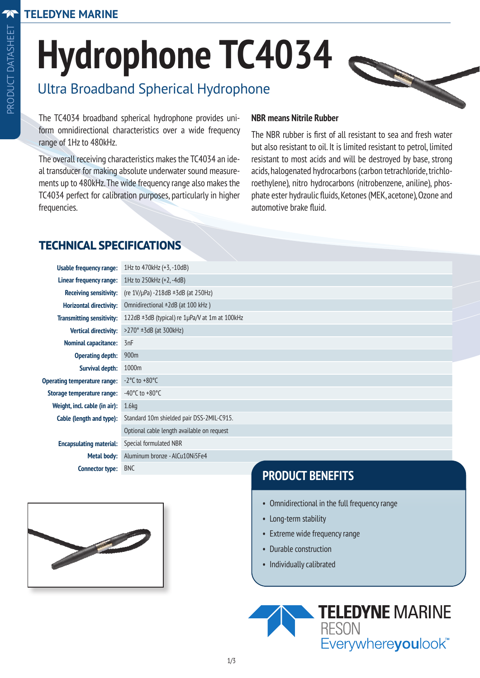$\overline{\mathbf{A}}$ 

# **Hydrophone TC4034**

# Ultra Broadband Spherical Hydrophone

The TC4034 broadband spherical hydrophone provides uniform omnidirectional characteristics over a wide frequency range of 1Hz to 480kHz.

The overall receiving characteristics makes the TC4034 an ideal transducer for making absolute underwater sound measurements up to 480kHz. The wide frequency range also makes the TC4034 perfect for calibration purposes, particularly in higher frequencies.

#### **NBR means Nitrile Rubber**

The NBR rubber is first of all resistant to sea and fresh water but also resistant to oil. It is limited resistant to petrol, limited resistant to most acids and will be destroyed by base, strong acids, halogenated hydrocarbons (carbon tetrachloride, trichloroethylene), nitro hydrocarbons (nitrobenzene, aniline), phosphate ester hydraulic fluids, Ketones (MEK, acetone), Ozone and automotive brake fluid.

#### **TECHNICAL SPECIFICATIONS**

| <b>Usable frequency range:</b>      | 1Hz to 470kHz (+3, -10dB)                           |
|-------------------------------------|-----------------------------------------------------|
| Linear frequency range:             | 1Hz to 250kHz (+2, -4dB)                            |
| <b>Receiving sensitivity:</b>       | (re $1V/\mu$ Pa) -218dB $\pm$ 3dB (at 250Hz)        |
| <b>Horizontal directivity:</b>      | Omnidirectional ±2dB (at 100 kHz)                   |
| <b>Transmitting sensitivity:</b>    | 122dB $\pm$ 3dB (typical) re 1µPa/V at 1m at 100kHz |
| <b>Vertical directivity:</b>        | $>270^\circ$ ±3dB (at 300kHz)                       |
| <b>Nominal capacitance:</b>         | 3nF                                                 |
| <b>Operating depth:</b>             | 900 <sub>m</sub>                                    |
| <b>Survival depth:</b>              | 1000m                                               |
| <b>Operating temperature range:</b> | $-2$ °C to $+80$ °C                                 |
| Storage temperature range:          | -40 $^{\circ}$ C to +80 $^{\circ}$ C                |
| Weight, incl. cable (in air):       | 1.6 <sub>kq</sub>                                   |
| Cable (length and type):            | Standard 10m shielded pair DSS-2MIL-C915.           |
|                                     | Optional cable length available on request          |
| <b>Encapsulating material:</b>      | Special formulated NBR                              |
| Metal body:                         | Aluminum bronze - AlCu10Ni5Fe4                      |
| <b>Connector type:</b>              | <b>BNC</b>                                          |



## **PRODUCT BENEFITS**

- Omnidirectional in the full frequency range
- Long-term stability
- Extreme wide frequency range
- Durable construction
- Individually calibrated

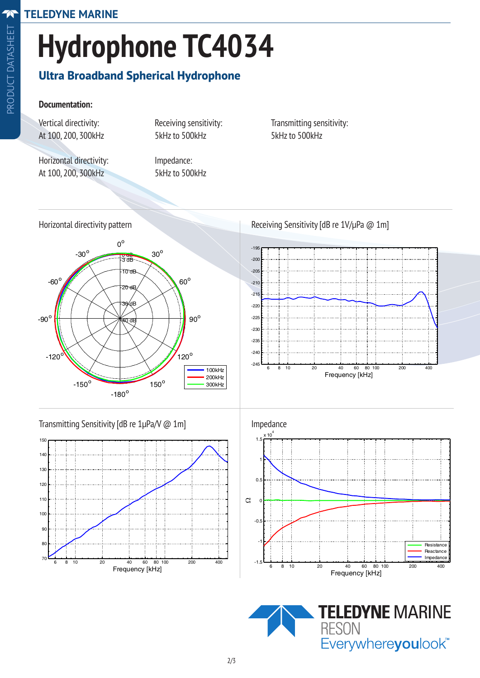# **Hydrophone TC4034**

## **Ultra Broadband Spherical Hydrophone**

#### **Documentation:**

Vertical directivity: Receiving sensitivity: Transmitting sensitivity: At 100, 200, 300kHz 5kHz to 500kHz 5kHz to 500kHz

Horizontal directivity: Impedance: At 100, 200, 300kHz 5kHz to 500kHz

Horizontal directivity pattern



Receiving Sensitivity [dB re 1V/µPa @ 1m]